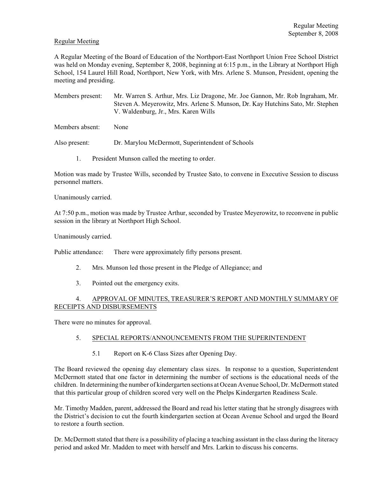#### Regular Meeting

A Regular Meeting of the Board of Education of the Northport-East Northport Union Free School District was held on Monday evening, September 8, 2008, beginning at 6:15 p.m., in the Library at Northport High School, 154 Laurel Hill Road, Northport, New York, with Mrs. Arlene S. Munson, President, opening the meeting and presiding.

Members present: Mr. Warren S. Arthur, Mrs. Liz Dragone, Mr. Joe Gannon, Mr. Rob Ingraham, Mr. Steven A. Meyerowitz, Mrs. Arlene S. Munson, Dr. Kay Hutchins Sato, Mr. Stephen V. Waldenburg, Jr., Mrs. Karen Wills

Members absent: None

Also present: Dr. Marylou McDermott, Superintendent of Schools

1. President Munson called the meeting to order.

Motion was made by Trustee Wills, seconded by Trustee Sato, to convene in Executive Session to discuss personnel matters.

Unanimously carried.

At 7:50 p.m., motion was made by Trustee Arthur, seconded by Trustee Meyerowitz, to reconvene in public session in the library at Northport High School.

Unanimously carried.

Public attendance: There were approximately fifty persons present.

- 2. Mrs. Munson led those present in the Pledge of Allegiance; and
- 3. Pointed out the emergency exits.

## 4. APPROVAL OF MINUTES, TREASURER'S REPORT AND MONTHLY SUMMARY OF RECEIPTS AND DISBURSEMENTS

There were no minutes for approval.

## 5. SPECIAL REPORTS/ANNOUNCEMENTS FROM THE SUPERINTENDENT

5.1 Report on K-6 Class Sizes after Opening Day.

The Board reviewed the opening day elementary class sizes. In response to a question, Superintendent McDermott stated that one factor in determining the number of sections is the educational needs of the children. In determining the number of kindergarten sections at Ocean Avenue School, Dr. McDermott stated that this particular group of children scored very well on the Phelps Kindergarten Readiness Scale.

Mr. Timothy Madden, parent, addressed the Board and read his letter stating that he strongly disagrees with the District's decision to cut the fourth kindergarten section at Ocean Avenue School and urged the Board to restore a fourth section.

Dr. McDermott stated that there is a possibility of placing a teaching assistant in the class during the literacy period and asked Mr. Madden to meet with herself and Mrs. Larkin to discuss his concerns.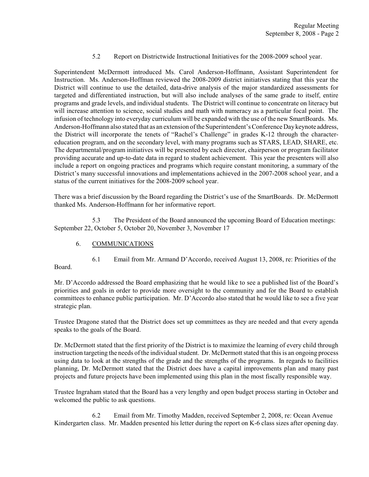## 5.2 Report on Districtwide Instructional Initiatives for the 2008-2009 school year.

Superintendent McDermott introduced Ms. Carol Anderson-Hoffmann, Assistant Superintendent for Instruction. Ms. Anderson-Hoffman reviewed the 2008-2009 district initiatives stating that this year the District will continue to use the detailed, data-drive analysis of the major standardized assessments for targeted and differentiated instruction, but will also include analyses of the same grade to itself, entire programs and grade levels, and individual students. The District will continue to concentrate on literacy but will increase attention to science, social studies and math with numeracy as a particular focal point. The infusion of technology into everyday curriculum will be expanded with the use of the new SmartBoards. Ms. Anderson-Hoffmann also stated that as an extension of the Superintendent's Conference Day keynote address, the District will incorporate the tenets of "Rachel's Challenge" in grades K-12 through the charactereducation program, and on the secondary level, with many programs such as STARS, LEAD, SHARE, etc. The departmental/program initiatives will be presented by each director, chairperson or program facilitator providing accurate and up-to-date data in regard to student achievement. This year the presenters will also include a report on ongoing practices and programs which require constant monitoring, a summary of the District's many successful innovations and implementations achieved in the 2007-2008 school year, and a status of the current initiatives for the 2008-2009 school year.

There was a brief discussion by the Board regarding the District's use of the SmartBoards. Dr. McDermott thanked Ms. Anderson-Hoffmann for her informative report.

5.3 The President of the Board announced the upcoming Board of Education meetings: September 22, October 5, October 20, November 3, November 17

6. COMMUNICATIONS

6.1 Email from Mr. Armand D'Accordo, received August 13, 2008, re: Priorities of the Board.

Mr. D'Accordo addressed the Board emphasizing that he would like to see a published list of the Board's priorities and goals in order to provide more oversight to the community and for the Board to establish committees to enhance public participation. Mr. D'Accordo also stated that he would like to see a five year strategic plan.

Trustee Dragone stated that the District does set up committees as they are needed and that every agenda speaks to the goals of the Board.

Dr. McDermott stated that the first priority of the District is to maximize the learning of every child through instruction targeting the needs of the individual student. Dr. McDermott stated that this is an ongoing process using data to look at the strengths of the grade and the strengths of the programs. In regards to facilities planning, Dr. McDermott stated that the District does have a capital improvements plan and many past projects and future projects have been implemented using this plan in the most fiscally responsible way.

Trustee Ingraham stated that the Board has a very lengthy and open budget process starting in October and welcomed the public to ask questions.

6.2 Email from Mr. Timothy Madden, received September 2, 2008, re: Ocean Avenue Kindergarten class. Mr. Madden presented his letter during the report on K-6 class sizes after opening day.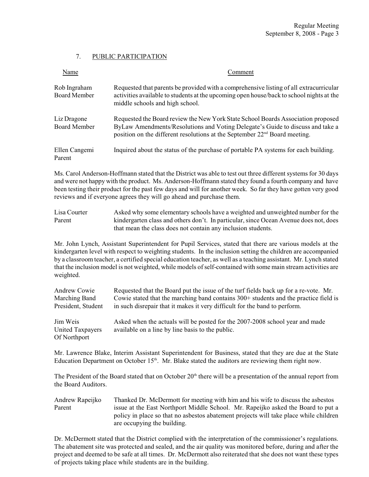# 7. PUBLIC PARTICIPATION

| Name                                | Comment                                                                                                                                                                                                                                                      |  |  |  |
|-------------------------------------|--------------------------------------------------------------------------------------------------------------------------------------------------------------------------------------------------------------------------------------------------------------|--|--|--|
| Rob Ingraham<br><b>Board Member</b> | Requested that parents be provided with a comprehensive listing of all extracurricular<br>activities available to students at the upcoming open house/back to school nights at the<br>middle schools and high school.                                        |  |  |  |
| Liz Dragone<br><b>Board Member</b>  | Requested the Board review the New York State School Boards Association proposed<br>ByLaw Amendments/Resolutions and Voting Delegate's Guide to discuss and take a<br>position on the different resolutions at the September 22 <sup>nd</sup> Board meeting. |  |  |  |
| Ellen Cangemi<br>Parent             | Inquired about the status of the purchase of portable PA systems for each building.                                                                                                                                                                          |  |  |  |

Ms. Carol Anderson-Hoffmann stated that the District was able to test out three different systems for 30 days and were not happy with the product. Ms. Anderson-Hoffmann stated they found a fourth company and have been testing their product for the past few days and will for another week. So far they have gotten very good reviews and if everyone agrees they will go ahead and purchase them.

Lisa Courter Asked why some elementary schools have a weighted and unweighted number for the Parent kindergarten class and others don't. In particular, since Ocean Avenue does not, does that mean the class does not contain any inclusion students.

Mr. John Lynch, Assistant Superintendent for Pupil Services, stated that there are various models at the kindergarten level with respect to weighting students. In the inclusion setting the children are accompanied by a classroom teacher, a certified special education teacher, as well as a teaching assistant. Mr. Lynch stated that the inclusion model is not weighted, while models of self-contained with some main streamactivities are weighted.

| Andrew Cowie                                 | Requested that the Board put the issue of the turf fields back up for a re-vote. Mr.                                             |
|----------------------------------------------|----------------------------------------------------------------------------------------------------------------------------------|
| Marching Band                                | Cowie stated that the marching band contains $300+$ students and the practice field is                                           |
| President, Student                           | in such disrepair that it makes it very difficult for the band to perform.                                                       |
| Jim Weis<br>United Taxpayers<br>Of Northport | Asked when the actuals will be posted for the 2007-2008 school year and made<br>available on a line by line basis to the public. |

Mr. Lawrence Blake, Interim Assistant Superintendent for Business, stated that they are due at the State Education Department on October 15<sup>th</sup>. Mr. Blake stated the auditors are reviewing them right now.

The President of the Board stated that on October  $20<sup>th</sup>$  there will be a presentation of the annual report from the Board Auditors.

Andrew Rapeijko Thanked Dr. McDermott for meeting with him and his wife to discuss the asbestos Parent issue at the East Northport Middle School. Mr. Rapeijko asked the Board to put a policy in place so that no asbestos abatement projects will take place while children are occupying the building.

Dr. McDermott stated that the District complied with the interpretation of the commissioner's regulations. The abatement site was protected and sealed, and the air quality was monitored before, during and after the project and deemed to be safe at all times. Dr. McDermott also reiterated that she does not want these types of projects taking place while students are in the building.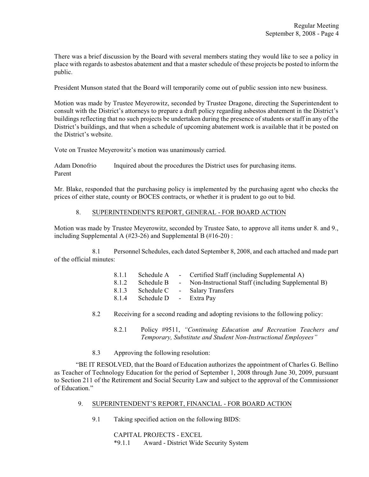There was a brief discussion by the Board with several members stating they would like to see a policy in place with regards to asbestos abatement and that a master schedule of these projects be posted to inform the public.

President Munson stated that the Board will temporarily come out of public session into new business.

Motion was made by Trustee Meyerowitz, seconded by Trustee Dragone, directing the Superintendent to consult with the District's attorneys to prepare a draft policy regarding asbestos abatement in the District's buildings reflecting that no such projects be undertaken during the presence of students or staff in any of the District's buildings, and that when a schedule of upcoming abatement work is available that it be posted on the District's website.

Vote on Trustee Meyerowitz's motion was unanimously carried.

Adam Donofrio Inquired about the procedures the District uses for purchasing items. Parent

Mr. Blake, responded that the purchasing policy is implemented by the purchasing agent who checks the prices of either state, county or BOCES contracts, or whether it is prudent to go out to bid.

## 8. SUPERINTENDENT'S REPORT, GENERAL - FOR BOARD ACTION

Motion was made by Trustee Meyerowitz, seconded by Trustee Sato, to approve all items under 8. and 9., including Supplemental A (#23-26) and Supplemental B (#16-20) :

8.1 Personnel Schedules, each dated September 8, 2008, and each attached and made part of the official minutes:

| 8.1.1 | Schedule A             | - Certified Staff (including Supplemental A)         |
|-------|------------------------|------------------------------------------------------|
| 8.1.2 | Schedule B             | - Non-Instructional Staff (including Supplemental B) |
| 8.1.3 | Schedule C             | - Salary Transfers                                   |
| 8.1.4 | Schedule D - Extra Pay |                                                      |

- 8.2 Receiving for a second reading and adopting revisions to the following policy:
	- 8.2.1 Policy #9511, *"Continuing Education and Recreation Teachers and Temporary, Substitute and Student Non-Instructional Employees"*
- 8.3 Approving the following resolution:

"BE IT RESOLVED, that the Board of Education authorizes the appointment of Charles G. Bellino as Teacher of Technology Education for the period of September 1, 2008 through June 30, 2009, pursuant to Section 211 of the Retirement and Social Security Law and subject to the approval of the Commissioner of Education."

## 9. SUPERINTENDENT'S REPORT, FINANCIAL - FOR BOARD ACTION

9.1 Taking specified action on the following BIDS:

CAPITAL PROJECTS - EXCEL \*9.1.1 Award - District Wide Security System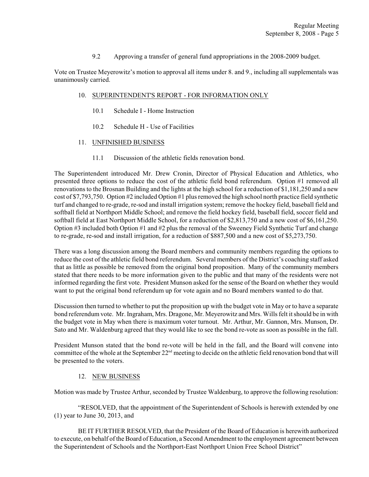9.2 Approving a transfer of general fund appropriations in the 2008-2009 budget.

Vote on Trustee Meyerowitz's motion to approval all items under 8. and 9., including all supplementals was unanimously carried.

#### 10. SUPERINTENDENT'S REPORT - FOR INFORMATION ONLY

- 10.1 Schedule I Home Instruction
- 10.2 Schedule H Use of Facilities

#### 11. UNFINISHED BUSINESS

11.1 Discussion of the athletic fields renovation bond.

The Superintendent introduced Mr. Drew Cronin, Director of Physical Education and Athletics, who presented three options to reduce the cost of the athletic field bond referendum. Option #1 removed all renovations to the Brosnan Building and the lights at the high school for a reduction of \$1,181,250 and a new cost of \$7,793,750. Option #2 included Option #1 plus removed the high school north practice field synthetic turf and changed to re-grade, re-sod and install irrigation system; remove the hockey field, baseball field and softball field at Northport Middle School; and remove the field hockey field, baseball field, soccer field and softball field at East Northport Middle School, for a reduction of \$2,813,750 and a new cost of \$6,161,250. Option #3 included both Option #1 and #2 plus the removal of the Sweeney Field Synthetic Turf and change to re-grade, re-sod and install irrigation, for a reduction of \$887,500 and a new cost of \$5,273,750.

There was a long discussion among the Board members and community members regarding the options to reduce the cost of the athletic field bond referendum. Several members of the District's coaching staff asked that as little as possible be removed from the original bond proposition. Many of the community members stated that there needs to be more information given to the public and that many of the residents were not informed regarding the first vote. President Munson asked for the sense of the Board on whether they would want to put the original bond referendum up for vote again and no Board members wanted to do that.

Discussion then turned to whether to put the proposition up with the budget vote in May or to have a separate bond referendum vote. Mr. Ingraham, Mrs. Dragone, Mr. Meyerowitz and Mrs. Wills felt it should be in with the budget vote in May when there is maximum voter turnout. Mr. Arthur, Mr. Gannon, Mrs. Munson, Dr. Sato and Mr. Waldenburg agreed that they would like to see the bond re-vote as soon as possible in the fall.

President Munson stated that the bond re-vote will be held in the fall, and the Board will convene into committee of the whole at the September  $22<sup>nd</sup>$  meeting to decide on the athletic field renovation bond that will be presented to the voters.

#### 12. NEW BUSINESS

Motion was made by Trustee Arthur, seconded by Trustee Waldenburg, to approve the following resolution:

"RESOLVED, that the appointment of the Superintendent of Schools is herewith extended by one (1) year to June 30, 2013, and

BE IT FURTHER RESOLVED, that the President of the Board of Education is herewith authorized to execute, on behalf of the Board of Education, a Second Amendment to the employment agreement between the Superintendent of Schools and the Northport-East Northport Union Free School District"